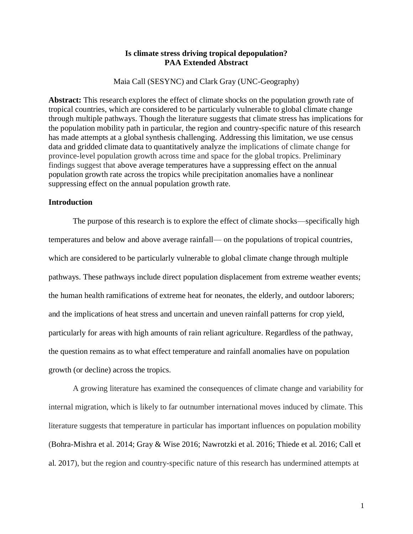## **Is climate stress driving tropical depopulation? PAA Extended Abstract**

Maia Call (SESYNC) and Clark Gray (UNC-Geography)

**Abstract:** This research explores the effect of climate shocks on the population growth rate of tropical countries, which are considered to be particularly vulnerable to global climate change through multiple pathways. Though the literature suggests that climate stress has implications for the population mobility path in particular, the region and country-specific nature of this research has made attempts at a global synthesis challenging. Addressing this limitation, we use census data and gridded climate data to quantitatively analyze the implications of climate change for province-level population growth across time and space for the global tropics. Preliminary findings suggest that above average temperatures have a suppressing effect on the annual population growth rate across the tropics while precipitation anomalies have a nonlinear suppressing effect on the annual population growth rate.

## **Introduction**

The purpose of this research is to explore the effect of climate shocks—specifically high temperatures and below and above average rainfall— on the populations of tropical countries, which are considered to be particularly vulnerable to global climate change through multiple pathways. These pathways include direct population displacement from extreme weather events; the human health ramifications of extreme heat for neonates, the elderly, and outdoor laborers; and the implications of heat stress and uncertain and uneven rainfall patterns for crop yield, particularly for areas with high amounts of rain reliant agriculture. Regardless of the pathway, the question remains as to what effect temperature and rainfall anomalies have on population growth (or decline) across the tropics.

A growing literature has examined the consequences of climate change and variability for internal migration, which is likely to far outnumber international moves induced by climate. This literature suggests that temperature in particular has important influences on population mobility (Bohra-Mishra et al. 2014; Gray & Wise 2016; Nawrotzki et al. 2016; Thiede et al. 2016; Call et al. 2017), but the region and country-specific nature of this research has undermined attempts at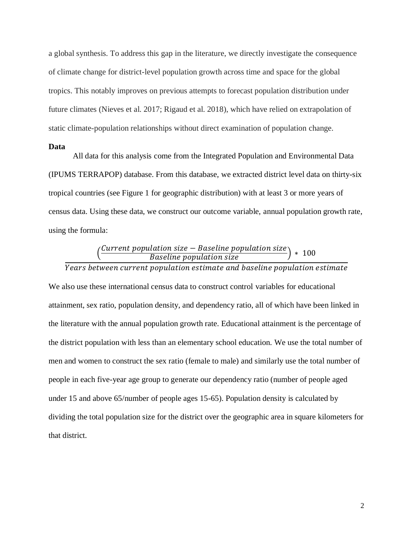a global synthesis. To address this gap in the literature, we directly investigate the consequence of climate change for district-level population growth across time and space for the global tropics. This notably improves on previous attempts to forecast population distribution under future climates (Nieves et al. 2017; Rigaud et al. 2018), which have relied on extrapolation of static climate-population relationships without direct examination of population change.

### **Data**

All data for this analysis come from the Integrated Population and Environmental Data (IPUMS TERRAPOP) database. From this database, we extracted district level data on thirty-six tropical countries (see Figure 1 for geographic distribution) with at least 3 or more years of census data. Using these data, we construct our outcome variable, annual population growth rate, using the formula:

# $\left(\frac{\text{Current population size} - \text{Baseline population size}}{\text{Baseline population size}}\right) * 100$

# Years between current population estimate and baseline population estimate

We also use these international census data to construct control variables for educational attainment, sex ratio, population density, and dependency ratio, all of which have been linked in the literature with the annual population growth rate. Educational attainment is the percentage of the district population with less than an elementary school education. We use the total number of men and women to construct the sex ratio (female to male) and similarly use the total number of people in each five-year age group to generate our dependency ratio (number of people aged under 15 and above 65/number of people ages 15-65). Population density is calculated by dividing the total population size for the district over the geographic area in square kilometers for that district.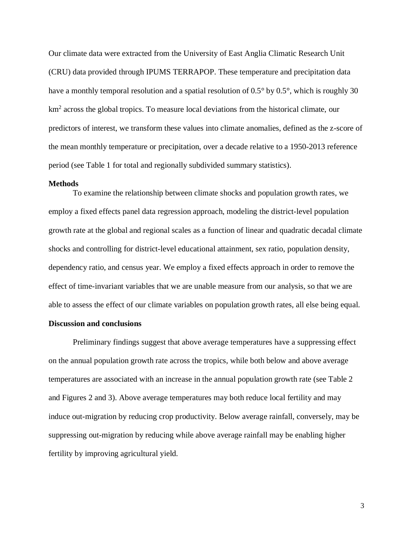Our climate data were extracted from the University of East Anglia Climatic Research Unit (CRU) data provided through IPUMS TERRAPOP. These temperature and precipitation data have a monthly temporal resolution and a spatial resolution of 0.5° by 0.5°, which is roughly 30 km<sup>2</sup> across the global tropics. To measure local deviations from the historical climate, our predictors of interest, we transform these values into climate anomalies, defined as the z-score of the mean monthly temperature or precipitation, over a decade relative to a 1950-2013 reference period (see Table 1 for total and regionally subdivided summary statistics).

#### **Methods**

To examine the relationship between climate shocks and population growth rates, we employ a fixed effects panel data regression approach, modeling the district-level population growth rate at the global and regional scales as a function of linear and quadratic decadal climate shocks and controlling for district-level educational attainment, sex ratio, population density, dependency ratio, and census year. We employ a fixed effects approach in order to remove the effect of time-invariant variables that we are unable measure from our analysis, so that we are able to assess the effect of our climate variables on population growth rates, all else being equal.

# **Discussion and conclusions**

Preliminary findings suggest that above average temperatures have a suppressing effect on the annual population growth rate across the tropics, while both below and above average temperatures are associated with an increase in the annual population growth rate (see Table 2 and Figures 2 and 3). Above average temperatures may both reduce local fertility and may induce out-migration by reducing crop productivity. Below average rainfall, conversely, may be suppressing out-migration by reducing while above average rainfall may be enabling higher fertility by improving agricultural yield.

3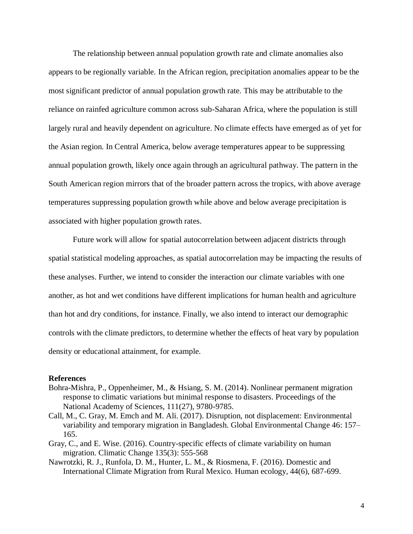The relationship between annual population growth rate and climate anomalies also appears to be regionally variable. In the African region, precipitation anomalies appear to be the most significant predictor of annual population growth rate. This may be attributable to the reliance on rainfed agriculture common across sub-Saharan Africa, where the population is still largely rural and heavily dependent on agriculture. No climate effects have emerged as of yet for the Asian region. In Central America, below average temperatures appear to be suppressing annual population growth, likely once again through an agricultural pathway. The pattern in the South American region mirrors that of the broader pattern across the tropics, with above average temperatures suppressing population growth while above and below average precipitation is associated with higher population growth rates.

Future work will allow for spatial autocorrelation between adjacent districts through spatial statistical modeling approaches, as spatial autocorrelation may be impacting the results of these analyses. Further, we intend to consider the interaction our climate variables with one another, as hot and wet conditions have different implications for human health and agriculture than hot and dry conditions, for instance. Finally, we also intend to interact our demographic controls with the climate predictors, to determine whether the effects of heat vary by population density or educational attainment, for example.

## **References**

- Bohra-Mishra, P., Oppenheimer, M., & Hsiang, S. M. (2014). Nonlinear permanent migration response to climatic variations but minimal response to disasters. Proceedings of the National Academy of Sciences, 111(27), 9780-9785.
- Call, M., C. Gray, M. Emch and M. Ali. (2017). Disruption, not displacement: Environmental variability and temporary migration in Bangladesh. Global Environmental Change 46: 157– 165.
- Gray, C., and E. Wise. (2016). Country-specific effects of climate variability on human migration. Climatic Change 135(3): 555-568
- Nawrotzki, R. J., Runfola, D. M., Hunter, L. M., & Riosmena, F. (2016). Domestic and International Climate Migration from Rural Mexico. Human ecology, 44(6), 687-699.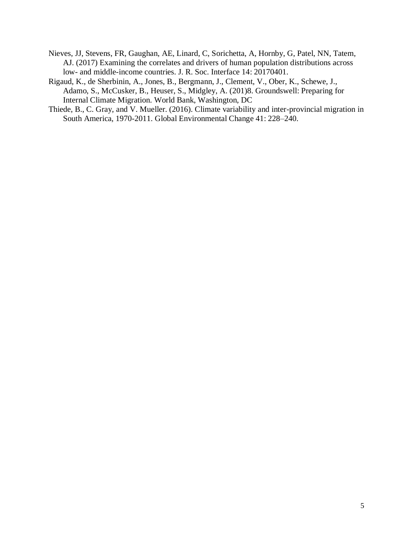- Nieves, JJ, Stevens, FR, Gaughan, AE, Linard, C, Sorichetta, A, Hornby, G, Patel, NN, Tatem, AJ. (2017) Examining the correlates and drivers of human population distributions across low- and middle-income countries. J. R. Soc. Interface 14: 20170401.
- Rigaud, K., de Sherbinin, A., Jones, B., Bergmann, J., Clement, V., Ober, K., Schewe, J., Adamo, S., McCusker, B., Heuser, S., Midgley, A. (201)8. Groundswell: Preparing for Internal Climate Migration. World Bank, Washington, DC
- Thiede, B., C. Gray, and V. Mueller. (2016). Climate variability and inter-provincial migration in South America, 1970-2011. Global Environmental Change 41: 228–240.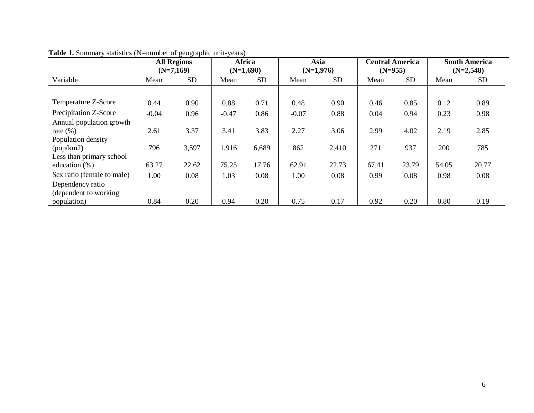|                                                               |         | <b>All Regions</b><br>$(N=7,169)$ |         | Africa<br>$(N=1,690)$ |         | Asia<br>$(N=1,976)$ | $(N=955)$ | <b>Central America</b> | <b>South America</b><br>$(N=2,548)$ |           |
|---------------------------------------------------------------|---------|-----------------------------------|---------|-----------------------|---------|---------------------|-----------|------------------------|-------------------------------------|-----------|
| Variable                                                      | Mean    | <b>SD</b>                         | Mean    | <b>SD</b>             | Mean    | <b>SD</b>           | Mean      | <b>SD</b>              | Mean                                | <b>SD</b> |
|                                                               |         |                                   |         |                       |         |                     |           |                        |                                     |           |
| Temperature Z-Score                                           | 0.44    | 0.90                              | 0.88    | 0.71                  | 0.48    | 0.90                | 0.46      | 0.85                   | 0.12                                | 0.89      |
| Precipitation Z-Score                                         | $-0.04$ | 0.96                              | $-0.47$ | 0.86                  | $-0.07$ | 0.88                | 0.04      | 0.94                   | 0.23                                | 0.98      |
| Annual population growth<br>rate $(\%)$<br>Population density | 2.61    | 3.37                              | 3.41    | 3.83                  | 2.27    | 3.06                | 2.99      | 4.02                   | 2.19                                | 2.85      |
| (pop/km2)<br>Less than primary school                         | 796     | 3,597                             | 1,916   | 6,689                 | 862     | 2,410               | 271       | 937                    | 200                                 | 785       |
| education $(\%)$                                              | 63.27   | 22.62                             | 75.25   | 17.76                 | 62.91   | 22.73               | 67.41     | 23.79                  | 54.05                               | 20.77     |
| Sex ratio (female to male)                                    | 1.00    | 0.08                              | 1.03    | 0.08                  | 1.00    | 0.08                | 0.99      | 0.08                   | 0.98                                | 0.08      |
| Dependency ratio<br>(dependent to working)                    |         |                                   |         |                       |         |                     |           |                        |                                     |           |
| population)                                                   | 0.84    | 0.20                              | 0.94    | 0.20                  | 0.75    | 0.17                | 0.92      | 0.20                   | 0.80                                | 0.19      |

## **Table 1.** Summary statistics (N=number of geographic unit-years)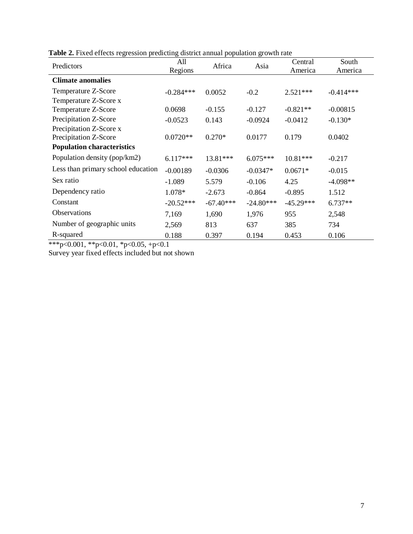| Predictors                         | All<br>Regions | Africa      | Asia        | Central<br>America | South<br>America |
|------------------------------------|----------------|-------------|-------------|--------------------|------------------|
| <b>Climate anomalies</b>           |                |             |             |                    |                  |
| Temperature Z-Score                | $-0.284***$    | 0.0052      | $-0.2$      | $2.521***$         | $-0.414***$      |
| Temperature Z-Score x              |                |             |             |                    |                  |
| Temperature Z-Score                | 0.0698         | $-0.155$    | $-0.127$    | $-0.821**$         | $-0.00815$       |
| Precipitation Z-Score              | $-0.0523$      | 0.143       | $-0.0924$   | $-0.0412$          | $-0.130*$        |
| Precipitation Z-Score x            |                |             |             |                    |                  |
| Precipitation Z-Score              | $0.0720**$     | $0.270*$    | 0.0177      | 0.179              | 0.0402           |
| <b>Population characteristics</b>  |                |             |             |                    |                  |
| Population density (pop/km2)       | $6.117***$     | 13.81***    | $6.075***$  | 10.81***           | $-0.217$         |
| Less than primary school education | $-0.00189$     | $-0.0306$   | $-0.0347*$  | $0.0671*$          | $-0.015$         |
| Sex ratio                          | $-1.089$       | 5.579       | $-0.106$    | 4.25               | $-4.098**$       |
| Dependency ratio                   | 1.078*         | $-2.673$    | $-0.864$    | $-0.895$           | 1.512            |
| Constant                           | $-20.52***$    | $-67.40***$ | $-24.80***$ | $-45.29***$        | $6.737**$        |
| Observations                       | 7,169          | 1,690       | 1,976       | 955                | 2,548            |
| Number of geographic units         | 2,569          | 813         | 637         | 385                | 734              |
| R-squared                          | 0.188          | 0.397       | 0.194       | 0.453              | 0.106            |

**Table 2.** Fixed effects regression predicting district annual population growth rate

\*\*\*p<0.001, \*\*p<0.01, \*p<0.05, +p<0.1

Survey year fixed effects included but not shown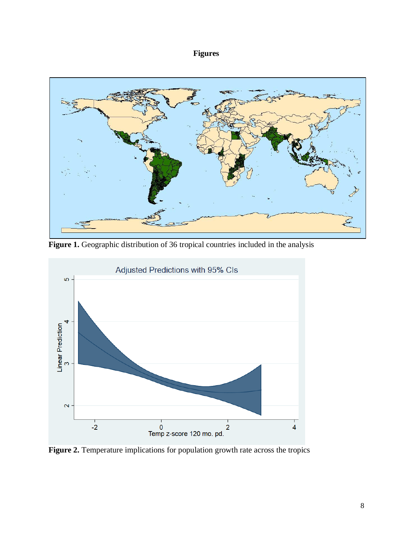# **Figures**



Figure 1. Geographic distribution of 36 tropical countries included in the analysis



**Figure 2.** Temperature implications for population growth rate across the tropics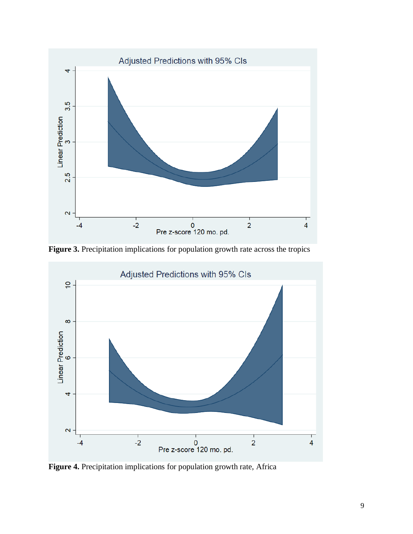

**Figure 3.** Precipitation implications for population growth rate across the tropics



**Figure 4.** Precipitation implications for population growth rate, Africa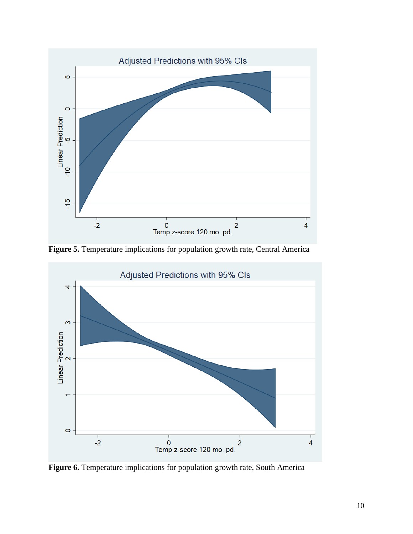

**Figure 5.** Temperature implications for population growth rate, Central America



**Figure 6.** Temperature implications for population growth rate, South America